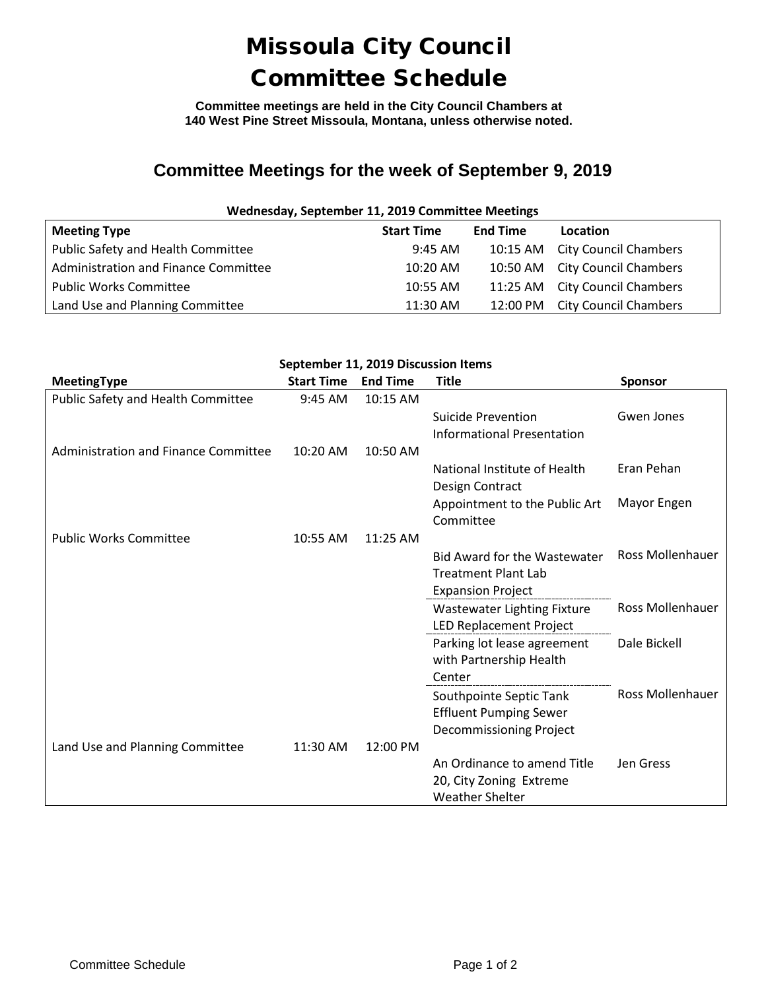## Missoula City Council Committee Schedule

**Committee meetings are held in the City Council Chambers at 140 West Pine Street Missoula, Montana, unless otherwise noted.**

## **Committee Meetings for the week of September 9, 2019**

| Wednesday, September 11, 2019 Committee Meetings |                   |                 |                                |  |  |  |
|--------------------------------------------------|-------------------|-----------------|--------------------------------|--|--|--|
| <b>Meeting Type</b>                              | <b>Start Time</b> | <b>End Time</b> | Location                       |  |  |  |
| Public Safety and Health Committee               | $9:45$ AM         |                 | 10:15 AM City Council Chambers |  |  |  |
| Administration and Finance Committee             | 10:20 AM          |                 | 10:50 AM City Council Chambers |  |  |  |
| <b>Public Works Committee</b>                    | 10:55 AM          |                 | 11:25 AM City Council Chambers |  |  |  |
| Land Use and Planning Committee                  | 11:30 AM          |                 | 12:00 PM City Council Chambers |  |  |  |

| September 11, 2019 Discussion Items  |                   |                 |                                                                                               |                         |  |  |  |
|--------------------------------------|-------------------|-----------------|-----------------------------------------------------------------------------------------------|-------------------------|--|--|--|
| <b>MeetingType</b>                   | <b>Start Time</b> | <b>End Time</b> | <b>Title</b>                                                                                  | <b>Sponsor</b>          |  |  |  |
| Public Safety and Health Committee   | 9:45 AM           | 10:15 AM        |                                                                                               |                         |  |  |  |
|                                      |                   |                 | Suicide Prevention<br><b>Informational Presentation</b>                                       | Gwen Jones              |  |  |  |
| Administration and Finance Committee | 10:20 AM          | 10:50 AM        |                                                                                               |                         |  |  |  |
|                                      |                   |                 | National Institute of Health<br>Design Contract                                               | Eran Pehan              |  |  |  |
|                                      |                   |                 | Appointment to the Public Art<br>Committee                                                    | Mayor Engen             |  |  |  |
| <b>Public Works Committee</b>        | 10:55 AM          | 11:25 AM        |                                                                                               |                         |  |  |  |
|                                      |                   |                 | <b>Bid Award for the Wastewater</b><br><b>Treatment Plant Lab</b><br><b>Expansion Project</b> | <b>Ross Mollenhauer</b> |  |  |  |
|                                      |                   |                 | <b>Wastewater Lighting Fixture</b>                                                            | <b>Ross Mollenhauer</b> |  |  |  |
|                                      |                   |                 | LED Replacement Project                                                                       |                         |  |  |  |
|                                      |                   |                 | Parking lot lease agreement<br>with Partnership Health<br>Center                              | Dale Bickell            |  |  |  |
|                                      |                   |                 | Southpointe Septic Tank<br><b>Effluent Pumping Sewer</b>                                      | <b>Ross Mollenhauer</b> |  |  |  |
| Land Use and Planning Committee      | 11:30 AM          | 12:00 PM        | Decommissioning Project                                                                       |                         |  |  |  |
|                                      |                   |                 | An Ordinance to amend Title<br>20, City Zoning Extreme<br><b>Weather Shelter</b>              | Jen Gress               |  |  |  |